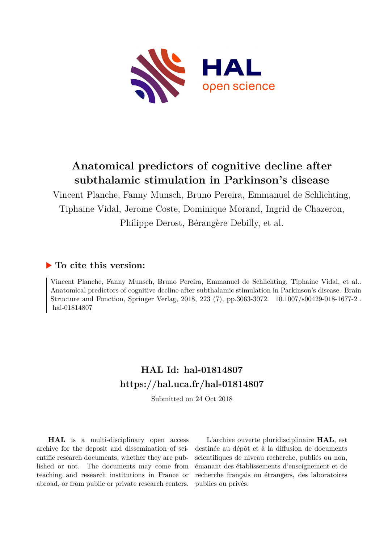

# **Anatomical predictors of cognitive decline after subthalamic stimulation in Parkinson's disease**

Vincent Planche, Fanny Munsch, Bruno Pereira, Emmanuel de Schlichting, Tiphaine Vidal, Jerome Coste, Dominique Morand, Ingrid de Chazeron, Philippe Derost, Bérangère Debilly, et al.

### **To cite this version:**

Vincent Planche, Fanny Munsch, Bruno Pereira, Emmanuel de Schlichting, Tiphaine Vidal, et al.. Anatomical predictors of cognitive decline after subthalamic stimulation in Parkinson's disease. Brain Structure and Function, Springer Verlag, 2018, 223 (7), pp.3063-3072. 10.1007/s00429-018-1677-2. hal-01814807

# **HAL Id: hal-01814807 <https://hal.uca.fr/hal-01814807>**

Submitted on 24 Oct 2018

**HAL** is a multi-disciplinary open access archive for the deposit and dissemination of scientific research documents, whether they are published or not. The documents may come from teaching and research institutions in France or abroad, or from public or private research centers.

L'archive ouverte pluridisciplinaire **HAL**, est destinée au dépôt et à la diffusion de documents scientifiques de niveau recherche, publiés ou non, émanant des établissements d'enseignement et de recherche français ou étrangers, des laboratoires publics ou privés.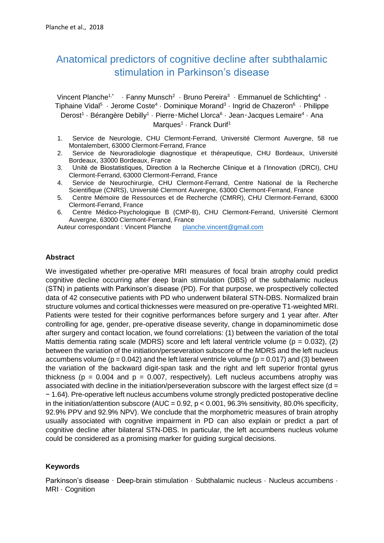# Anatomical predictors of cognitive decline after subthalamic stimulation in Parkinson's disease

Vincent Planche<sup>1,\*</sup> · Fanny Munsch<sup>2</sup> · Bruno Pereira<sup>3</sup> · Emmanuel de Schlichting<sup>4</sup> · Tiphaine Vidal<sup>5</sup> · Jerome Coste<sup>4</sup> · Dominique Morand<sup>3</sup> · Ingrid de Chazeron<sup>6</sup> · Philippe Derost<sup>1</sup> · Bérangère Debilly<sup>1</sup> · Pierre-Michel Llorca<sup>6</sup> · Jean-Jacques Lemaire<sup>4</sup> · Ana Marques<sup>1</sup> · Franck Durif<sup>1</sup>

- 1. Service de Neurologie, CHU Clermont-Ferrand, Université Clermont Auvergne, 58 rue Montalembert, 63000 Clermont-Ferrand, France
- 2. Service de Neuroradiologie diagnostique et thérapeutique, CHU Bordeaux, Université Bordeaux, 33000 Bordeaux, France
- 3. Unité de Biostatistiques, Direction à la Recherche Clinique et à l'Innovation (DRCI), CHU Clermont-Ferrand, 63000 Clermont-Ferrand, France
- 4. Service de Neurochirurgie, CHU Clermont-Ferrand, Centre National de la Recherche Scientifique (CNRS), Université Clermont Auvergne, 63000 Clermont-Ferrand, France
- 5. Centre Mémoire de Ressources et de Recherche (CMRR), CHU Clermont-Ferrand, 63000 Clermont-Ferrand, France
- 6. Centre Médico-Psychologique B (CMP-B), CHU Clermont-Ferrand, Université Clermont Auvergne, 63000 Clermont-Ferrand, France

Auteur correspondant : Vincent Planche [planche.vincent@gmail.com](mailto:planche.vincent@gmail.com)

### **Abstract**

We investigated whether pre-operative MRI measures of focal brain atrophy could predict cognitive decline occurring after deep brain stimulation (DBS) of the subthalamic nucleus (STN) in patients with Parkinson's disease (PD). For that purpose, we prospectively collected data of 42 consecutive patients with PD who underwent bilateral STN-DBS. Normalized brain structure volumes and cortical thicknesses were measured on pre-operative T1-weighted MRI. Patients were tested for their cognitive performances before surgery and 1 year after. After controlling for age, gender, pre-operative disease severity, change in dopaminomimetic dose after surgery and contact location, we found correlations: (1) between the variation of the total Mattis dementia rating scale (MDRS) score and left lateral ventricle volume ( $p = 0.032$ ), (2) between the variation of the initiation/perseveration subscore of the MDRS and the left nucleus accumbens volume ( $p = 0.042$ ) and the left lateral ventricle volume ( $p = 0.017$ ) and (3) between the variation of the backward digit-span task and the right and left superior frontal gyrus thickness ( $p = 0.004$  and  $p = 0.007$ , respectively). Left nucleus accumbens atrophy was associated with decline in the initiation/perseveration subscore with the largest effect size ( $d =$ − 1.64). Pre-operative left nucleus accumbens volume strongly predicted postoperative decline in the initiation/attention subscore (AUC =  $0.92$ , p <  $0.001$ ,  $96.3\%$  sensitivity, 80.0% specificity, 92.9% PPV and 92.9% NPV). We conclude that the morphometric measures of brain atrophy usually associated with cognitive impairment in PD can also explain or predict a part of cognitive decline after bilateral STN-DBS. In particular, the left accumbens nucleus volume could be considered as a promising marker for guiding surgical decisions.

### **Keywords**

Parkinson's disease · Deep-brain stimulation · Subthalamic nucleus · Nucleus accumbens · MRI · Cognition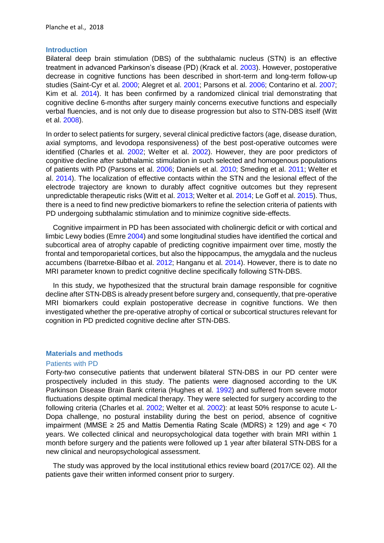#### **Introduction**

Bilateral deep brain stimulation (DBS) of the subthalamic nucleus (STN) is an effective treatment in advanced Parkinson's disease (PD) (Krack et al. 2003). However, postoperative decrease in cognitive functions has been described in short-term and long-term follow-up studies (Saint-Cyr et al. 2000; Alegret et al. 2001; Parsons et al. 2006; Contarino et al. 2007; Kim et al. 2014). It has been confirmed by a randomized clinical trial demonstrating that cognitive decline 6-months after surgery mainly concerns executive functions and especially verbal fluencies, and is not only due to disease progression but also to STN-DBS itself (Witt et al. 2008).

In order to select patients for surgery, several clinical predictive factors (age, disease duration, axial symptoms, and levodopa responsiveness) of the best post-operative outcomes were identified (Charles et al. 2002; Welter et al. 2002). However, they are poor predictors of cognitive decline after subthalamic stimulation in such selected and homogenous populations of patients with PD (Parsons et al. 2006; Daniels et al. 2010; Smeding et al. 2011; Welter et al. 2014). The localization of effective contacts within the STN and the lesional effect of the electrode trajectory are known to durably affect cognitive outcomes but they represent unpredictable therapeutic risks (Witt et al. 2013; Welter et al. 2014; Le Goff et al. 2015). Thus, there is a need to find new predictive biomarkers to refine the selection criteria of patients with PD undergoing subthalamic stimulation and to minimize cognitive side-effects.

Cognitive impairment in PD has been associated with cholinergic deficit or with cortical and limbic Lewy bodies (Emre 2004) and some longitudinal studies have identified the cortical and subcortical area of atrophy capable of predicting cognitive impairment over time, mostly the frontal and temporoparietal cortices, but also the hippocampus, the amygdala and the nucleus accumbens (Ibarretxe-Bilbao et al. 2012; Hanganu et al. 2014). However, there is to date no MRI parameter known to predict cognitive decline specifically following STN-DBS.

In this study, we hypothesized that the structural brain damage responsible for cognitive decline after STN-DBS is already present before surgery and, consequently, that pre-operative MRI biomarkers could explain postoperative decrease in cognitive functions. We then investigated whether the pre-operative atrophy of cortical or subcortical structures relevant for cognition in PD predicted cognitive decline after STN-DBS.

#### **Materials and methods**

### Patients with PD

Forty-two consecutive patients that underwent bilateral STN-DBS in our PD center were prospectively included in this study. The patients were diagnosed according to the UK Parkinson Disease Brain Bank criteria (Hughes et al. 1992) and suffered from severe motor fluctuations despite optimal medical therapy. They were selected for surgery according to the following criteria (Charles et al. 2002; Welter et al. 2002): at least 50% response to acute L-Dopa challenge, no postural instability during the best on period, absence of cognitive impairment (MMSE  $\geq$  25 and Mattis Dementia Rating Scale (MDRS)  $\geq$  129) and age < 70 years. We collected clinical and neuropsychological data together with brain MRI within 1 month before surgery and the patients were followed up 1 year after bilateral STN-DBS for a new clinical and neuropsychological assessment.

The study was approved by the local institutional ethics review board (2017/CE 02). All the patients gave their written informed consent prior to surgery.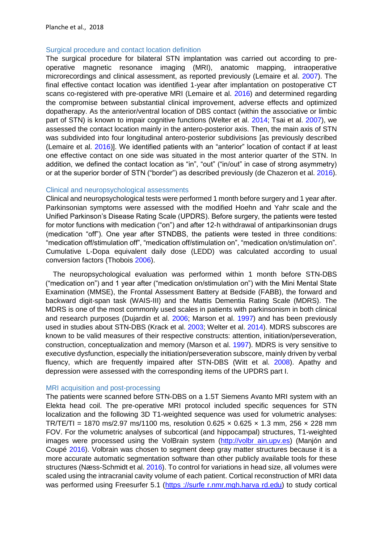#### Surgical procedure and contact location definition

The surgical procedure for bilateral STN implantation was carried out according to preoperative magnetic resonance imaging (MRI), anatomic mapping, intraoperative microrecordings and clinical assessment, as reported previously (Lemaire et al. 2007). The final effective contact location was identified 1-year after implantation on postoperative CT scans co-registered with pre-operative MRI (Lemaire et al. 2016) and determined regarding the compromise between substantial clinical improvement, adverse effects and optimized dopatherapy. As the anterior/ventral location of DBS contact (within the associative or limbic part of STN) is known to impair cognitive functions (Welter et al. 2014; Tsai et al. 2007), we assessed the contact location mainly in the antero-posterior axis. Then, the main axis of STN was subdivided into four longitudinal antero-posterior subdivisions [as previously described (Lemaire et al. 2016)]. We identified patients with an "anterior" location of contact if at least one effective contact on one side was situated in the most anterior quarter of the STN. In addition, we defined the contact location as "in", "out" ("in/out" in case of strong asymmetry) or at the superior border of STN ("border") as described previously (de Chazeron et al. 2016).

#### Clinical and neuropsychological assessments

Clinical and neuropsychological tests were performed 1 month before surgery and 1 year after. Parkinsonian symptoms were assessed with the modified Hoehn and Yahr scale and the Unified Parkinson's Disease Rating Scale (UPDRS). Before surgery, the patients were tested for motor functions with medication ("on") and after 12-h withdrawal of antiparkinsonian drugs (medication "off"). One year after STNDBS, the patients were tested in three conditions: "medication off/stimulation off", "medication off/stimulation on", "medication on/stimulation on". Cumulative L-Dopa equivalent daily dose (LEDD) was calculated according to usual conversion factors (Thobois 2006).

The neuropsychological evaluation was performed within 1 month before STN-DBS ("medication on") and 1 year after ("medication on/stimulation on") with the Mini Mental State Examination (MMSE), the Frontal Assessment Battery at Bedside (FABB), the forward and backward digit-span task (WAIS-III) and the Mattis Dementia Rating Scale (MDRS). The MDRS is one of the most commonly used scales in patients with parkinsonism in both clinical and research purposes (Dujardin et al. 2006; Marson et al. 1997) and has been previously used in studies about STN-DBS (Krack et al. 2003; Welter et al. 2014). MDRS subscores are known to be valid measures of their respective constructs: attention, initiation/perseveration, construction, conceptualization and memory (Marson et al. 1997). MDRS is very sensitive to executive dysfunction, especially the initiation/perseveration subscore, mainly driven by verbal fluency, which are frequently impaired after STN-DBS (Witt et al. 2008). Apathy and depression were assessed with the corresponding items of the UPDRS part I.

#### MRI acquisition and post-processing

The patients were scanned before STN-DBS on a 1.5T Siemens Avanto MRI system with an Elekta head coil. The pre-operative MRI protocol included specific sequences for STN localization and the following 3D T1-weighted sequence was used for volumetric analyses: TR/TE/TI = 1870 ms/2.97 ms/1100 ms, resolution  $0.625 \times 0.625 \times 1.3$  mm, 256  $\times$  228 mm FOV. For the volumetric analyses of subcortical (and hippocampal) structures, T1-weighted images were processed using the VolBrain system [\(http://volbr ain.upv.es\)](http://volbrain.upv.es/) (Manjón and Coupé 2016). Volbrain was chosen to segment deep gray matter structures because it is a more accurate automatic segmentation software than other publicly available tools for these structures (Næss-Schmidt et al. 2016). To control for variations in head size, all volumes were scaled using the intracranial cavity volume of each patient. Cortical reconstruction of MRI data was performed using Freesurfer 5.1 [\(https ://surfe r.nmr.mgh.harva rd.edu\)](https://surfer.nmr.mgh.harvard.edu/) to study cortical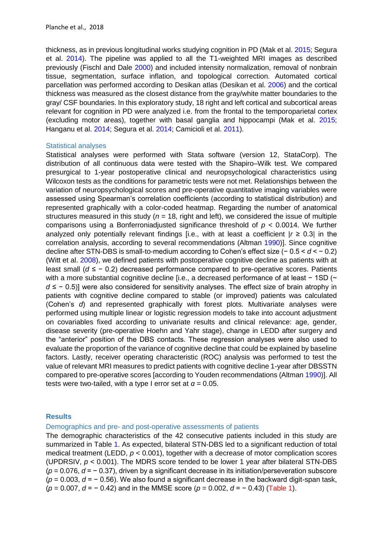thickness, as in previous longitudinal works studying cognition in PD (Mak et al. 2015; Segura et al. 2014). The pipeline was applied to all the T1-weighted MRI images as described previously (Fischl and Dale 2000) and included intensity normalization, removal of nonbrain tissue, segmentation, surface inflation, and topological correction. Automated cortical parcellation was performed according to Desikan atlas (Desikan et al. 2006) and the cortical thickness was measured as the closest distance from the gray/white matter boundaries to the gray/ CSF boundaries. In this exploratory study, 18 right and left cortical and subcortical areas relevant for cognition in PD were analyzed i.e. from the frontal to the temporoparietal cortex (excluding motor areas), together with basal ganglia and hippocampi (Mak et al. 2015; Hanganu et al. 2014; Segura et al. 2014; Camicioli et al. 2011).

#### Statistical analyses

Statistical analyses were performed with Stata software (version 12, StataCorp). The distribution of all continuous data were tested with the Shapiro–Wilk test. We compared presurgical to 1-year postoperative clinical and neuropsychological characteristics using Wilcoxon tests as the conditions for parametric tests were not met. Relationships between the variation of neuropsychological scores and pre-operative quantitative imaging variables were assessed using Spearman's correlation coefficients (according to statistical distribution) and represented graphically with a color-coded heatmap. Regarding the number of anatomical structures measured in this study ( $n = 18$ , right and left), we considered the issue of multiple comparisons using a Bonferroniadjusted significance threshold of *p* < 0.0014. We further analyzed only potentially relevant findings [i.e., with at least a coefficient  $|r \ge 0.3|$  in the correlation analysis, according to several recommendations (Altman 1990)]. Since cognitive decline after STN-DBS is small-to-medium according to Cohen's effect size (− 0.5 < *d* < − 0.2) (Witt et al. 2008), we defined patients with postoperative cognitive decline as patients with at least small (*d* ≤ − 0.2) decreased performance compared to pre-operative scores. Patients with a more substantial cognitive decline [i.e., a decreased performance of at least − 1SD (~ *d* ≤ − 0.5)] were also considered for sensitivity analyses. The effect size of brain atrophy in patients with cognitive decline compared to stable (or improved) patients was calculated (Cohen's *d*) and represented graphically with forest plots. Multivariate analyses were performed using multiple linear or logistic regression models to take into account adjustment on covariables fixed according to univariate results and clinical relevance: age, gender, disease severity (pre-operative Hoehn and Yahr stage), change in LEDD after surgery and the "anterior" position of the DBS contacts. These regression analyses were also used to evaluate the proportion of the variance of cognitive decline that could be explained by baseline factors. Lastly, receiver operating characteristic (ROC) analysis was performed to test the value of relevant MRI measures to predict patients with cognitive decline 1-year after DBSSTN compared to pre-operative scores [according to Youden recommendations (Altman 1990)]. All tests were two-tailed, with a type I error set at  $\alpha$  = 0.05.

### **Results**

Demographics and pre- and post-operative assessments of patients

The demographic characteristics of the 42 consecutive patients included in this study are summarized in Table 1. As expected, bilateral STN-DBS led to a significant reduction of total medical treatment (LEDD,  $p < 0.001$ ), together with a decrease of motor complication scores (UPDRSIV,  $p < 0.001$ ). The MDRS score tended to be lower 1 year after bilateral STN-DBS (*p* = 0.076, *d* = − 0.37), driven by a significant decrease in its initiation/perseveration subscore (*p* = 0.003, *d* = − 0.56). We also found a significant decrease in the backward digit-span task, (*p* = 0.007, *d* = − 0.42) and in the MMSE score (*p* = 0.002, *d* = − 0.43) (Table 1).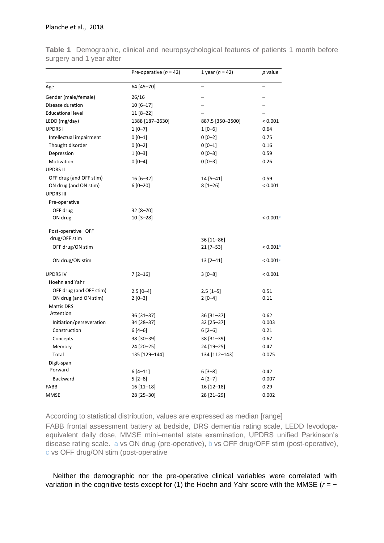|                          | Pre-operative ( $n = 42$ ) | 1 year ( $n = 42$ ) | p value                  |
|--------------------------|----------------------------|---------------------|--------------------------|
| Age                      | 64 [45-70]                 | $\qquad \qquad -$   | $\overline{\phantom{0}}$ |
| Gender (male/female)     | 26/16                      |                     |                          |
| Disease duration         | $10[6 - 17]$               |                     |                          |
| <b>Educational level</b> | 11 [8-22]                  |                     |                          |
| LEDD (mg/day)            | 1388 [187-2630]            | 887.5 [350-2500]    | ${}< 0.001$              |
| <b>UPDRSI</b>            | $1[0-7]$                   | $1[0-6]$            | 0.64                     |
| Intellectual impairment  | $0 [0-1]$                  | $0 [0-2]$           | 0.75                     |
| Thought disorder         | $0[0-2]$                   | $0[0-1]$            | 0.16                     |
| Depression               | $1[0-3]$                   | $0[0-3]$            | 0.59                     |
| Motivation               | $0[0-4]$                   | $0[0-3]$            | 0.26                     |
| <b>UPDRS II</b>          |                            |                     |                          |
| OFF drug (and OFF stim)  | 16 [6-32]                  | 14 [5-41]           | 0.59                     |
| ON drug (and ON stim)    | $6[0 - 20]$                | $8[1 - 26]$         | < 0.001                  |
| <b>UPDRS III</b>         |                            |                     |                          |
| Pre-operative            |                            |                     |                          |
| OFF drug                 | 32 [8-70]                  |                     |                          |
| ON drug                  | 10 [3-28]                  |                     | $< 0.001$ <sup>a</sup>   |
| Post-operative OFF       |                            |                     |                          |
| drug/OFF stim            |                            | 36 [11-86]          |                          |
| OFF drug/ON stim         |                            | $21$ [7-53]         | < 0.001 <sup>b</sup>     |
| ON drug/ON stim          |                            | $13 [2 - 41]$       | < 0.001c                 |
| <b>UPDRS IV</b>          | $7[2-16]$                  | $3[0-8]$            | < 0.001                  |
| Hoehn and Yahr           |                            |                     |                          |
| OFF drug (and OFF stim)  | $2.5$ [0-4]                | $2.5$ [1-5]         | 0.51                     |
| ON drug (and ON stim)    | $2[0-3]$                   | $2[0-4]$            | 0.11                     |
| <b>Mattis DRS</b>        |                            |                     |                          |
| Attention                | 36 [31-37]                 | 36 [31-37]          | 0.62                     |
| Initiation/perseveration | 34 [28-37]                 | 32 [25-37]          | 0.003                    |
| Construction             | $6[4-6]$                   | $6[2-6]$            | 0.21                     |
| Concepts                 | 38 [30-39]                 | 38 [31-39]          | 0.67                     |
| Memory                   | 24 [20-25]                 | 24 [19-25]          | 0.47                     |
| Total                    | 135 [129-144]              | 134 [112-143]       | 0.075                    |
| Digit-span               |                            |                     |                          |
| Forward                  | $6[4-11]$                  | $6[3-8]$            | 0.42                     |
| Backward                 | $5[2-8]$                   | $4[2-7]$            | 0.007                    |
| FABB                     | $16[11-18]$                | 16 [12-18]          | 0.29                     |
| <b>MMSE</b>              | 28 [25-30]                 | 28 [21-29]          | 0.002                    |

**Table 1** Demographic, clinical and neuropsychological features of patients 1 month before surgery and 1 year after

According to statistical distribution, values are expressed as median [range]

FABB frontal assessment battery at bedside, DRS dementia rating scale, LEDD levodopaequivalent daily dose, MMSE mini–mental state examination, UPDRS unified Parkinson's disease rating scale. a vs ON drug (pre-operative), b vs OFF drug/OFF stim (post-operative), c vs OFF drug/ON stim (post-operative

Neither the demographic nor the pre-operative clinical variables were correlated with variation in the cognitive tests except for (1) the Hoehn and Yahr score with the MMSE (*r* = −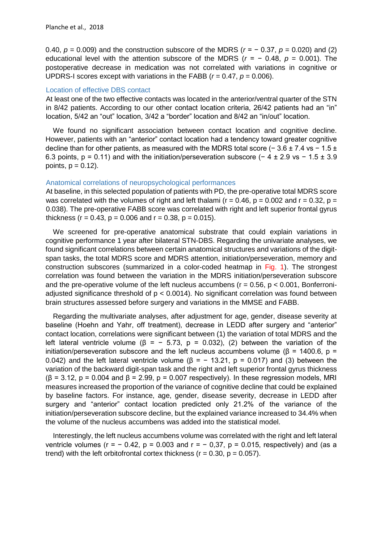0.40, *p* = 0.009) and the construction subscore of the MDRS (*r* = − 0.37, *p* = 0.020) and (2) educational level with the attention subscore of the MDRS ( $r = -0.48$ ,  $p = 0.001$ ). The postoperative decrease in medication was not correlated with variations in cognitive or UPDRS-I scores except with variations in the FABB (*r* = 0.47, *p* = 0.006).

#### Location of effective DBS contact

At least one of the two effective contacts was located in the anterior/ventral quarter of the STN in 8/42 patients. According to our other contact location criteria, 26/42 patients had an "in" location, 5/42 an "out" location, 3/42 a "border" location and 8/42 an "in/out" location.

We found no significant association between contact location and cognitive decline. However, patients with an "anterior" contact location had a tendency toward greater cognitive decline than for other patients, as measured with the MDRS total score (− 3.6 ± 7.4 vs − 1.5 ± 6.3 points,  $p = 0.11$ ) and with the initiation/perseveration subscore (-4 ± 2.9 vs - 1.5 ± 3.9 points,  $p = 0.12$ ).

### Anatomical correlations of neuropsychological performances

At baseline, in this selected population of patients with PD, the pre-operative total MDRS score was correlated with the volumes of right and left thalami ( $r = 0.46$ ,  $p = 0.002$  and  $r = 0.32$ ,  $p =$ 0.038). The pre-operative FABB score was correlated with right and left superior frontal gyrus thickness ( $r = 0.43$ ,  $p = 0.006$  and  $r = 0.38$ ,  $p = 0.015$ ).

We screened for pre-operative anatomical substrate that could explain variations in cognitive performance 1 year after bilateral STN-DBS. Regarding the univariate analyses, we found significant correlations between certain anatomical structures and variations of the digitspan tasks, the total MDRS score and MDRS attention, initiation/perseveration, memory and construction subscores (summarized in a color-coded heatmap in Fig. 1). The strongest correlation was found between the variation in the MDRS initiation/perseveration subscore and the pre-operative volume of the left nucleus accumbens ( $r = 0.56$ ,  $p < 0.001$ , Bonferroniadjusted significance threshold of  $p < 0.0014$ ). No significant correlation was found between brain structures assessed before surgery and variations in the MMSE and FABB.

Regarding the multivariate analyses, after adjustment for age, gender, disease severity at baseline (Hoehn and Yahr, off treatment), decrease in LEDD after surgery and "anterior" contact location, correlations were significant between (1) the variation of total MDRS and the left lateral ventricle volume ( $\beta$  = - 5.73, p = 0.032), (2) between the variation of the initiation/perseveration subscore and the left nucleus accumbens volume ( $\beta$  = 1400.6,  $\beta$  = 0.042) and the left lateral ventricle volume ( $\beta$  = - 13.21, p = 0.017) and (3) between the variation of the backward digit-span task and the right and left superior frontal gyrus thickness  $(\beta = 3.12, p = 0.004$  and  $\beta = 2.99, p = 0.007$  respectively). In these regression models, MRI measures increased the proportion of the variance of cognitive decline that could be explained by baseline factors. For instance, age, gender, disease severity, decrease in LEDD after surgery and "anterior" contact location predicted only 21.2% of the variance of the initiation/perseveration subscore decline, but the explained variance increased to 34.4% when the volume of the nucleus accumbens was added into the statistical model.

Interestingly, the left nucleus accumbens volume was correlated with the right and left lateral ventricle volumes ( $r = -0.42$ ,  $p = 0.003$  and  $r = -0.37$ ,  $p = 0.015$ , respectively) and (as a trend) with the left orbitofrontal cortex thickness ( $r = 0.30$ ,  $p = 0.057$ ).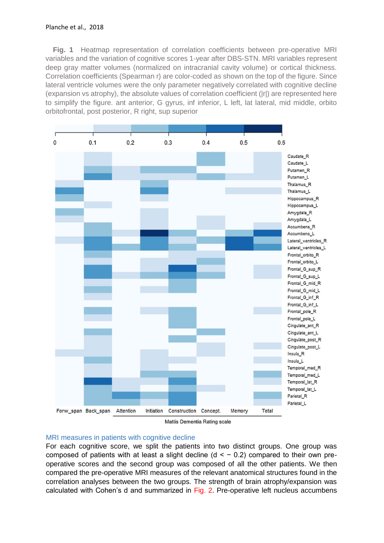**Fig. 1** Heatmap representation of correlation coefficients between pre-operative MRI variables and the variation of cognitive scores 1-year after DBS-STN. MRI variables represent deep gray matter volumes (normalized on intracranial cavity volume) or cortical thickness. Correlation coefficients (Spearman r) are color-coded as shown on the top of the figure. Since lateral ventricle volumes were the only parameter negatively correlated with cognitive decline (expansion vs atrophy), the absolute values of correlation coefficient (|r|) are represented here to simplify the figure. ant anterior, G gyrus, inf inferior, L left, lat lateral, mid middle, orbito orbitofrontal, post posterior, R right, sup superior





### MRI measures in patients with cognitive decline

For each cognitive score, we split the patients into two distinct groups. One group was composed of patients with at least a slight decline ( $d < -0.2$ ) compared to their own preoperative scores and the second group was composed of all the other patients. We then compared the pre-operative MRI measures of the relevant anatomical structures found in the correlation analyses between the two groups. The strength of brain atrophy/expansion was calculated with Cohen's d and summarized in Fig. 2. Pre-operative left nucleus accumbens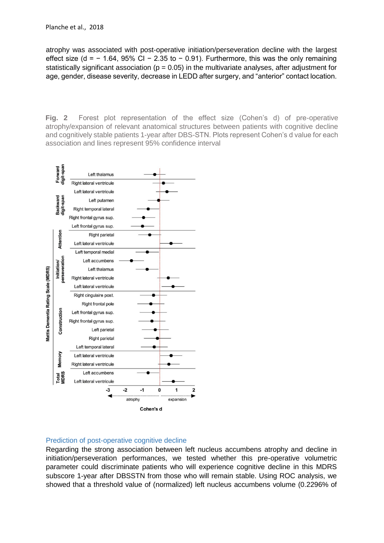atrophy was associated with post-operative initiation/perseveration decline with the largest effect size (d =  $-$  1.64, 95% CI  $-$  2.35 to  $-$  0.91). Furthermore, this was the only remaining statistically significant association ( $p = 0.05$ ) in the multivariate analyses, after adjustment for age, gender, disease severity, decrease in LEDD after surgery, and "anterior" contact location.

**Fig. 2** Forest plot representation of the effect size (Cohen's d) of pre-operative atrophy/expansion of relevant anatomical structures between patients with cognitive decline and cognitively stable patients 1-year after DBS-STN. Plots represent Cohen's d value for each association and lines represent 95% confidence interval



### Prediction of post-operative cognitive decline

Regarding the strong association between left nucleus accumbens atrophy and decline in initiation/perseveration performances, we tested whether this pre-operative volumetric parameter could discriminate patients who will experience cognitive decline in this MDRS subscore 1-year after DBSSTN from those who will remain stable. Using ROC analysis, we showed that a threshold value of (normalized) left nucleus accumbens volume (0.2296% of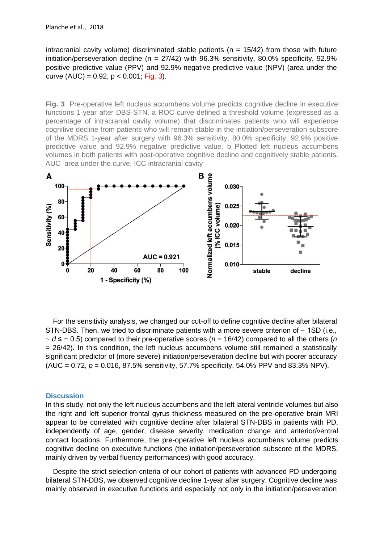intracranial cavity volume) discriminated stable patients ( $n = 15/42$ ) from those with future initiation/perseveration decline ( $n = 27/42$ ) with 96.3% sensitivity, 80.0% specificity, 92.9% positive predictive value (PPV) and 92.9% negative predictive value (NPV) (area under the curve  $(AUC) = 0.92$ ,  $p < 0.001$ ; Fig. 3).

**Fig. 3** Pre-operative left nucleus accumbens volume predicts cognitive decline in executive functions 1-year after DBS-STN. a ROC curve defined a threshold volume (expressed as a percentage of intracranial cavity volume) that discriminates patients who will experience cognitive decline from patients who will remain stable in the initiation/perseveration subscore of the MDRS 1-year after surgery with 96.3% sensitivity, 80.0% specificity, 92.9% positive predictive value and 92.9% negative predictive value. b Plotted left nucleus accumbens volumes in both patients with post-operative cognitive decline and cognitively stable patients. AUC area under the curve, ICC intracranial cavity



For the sensitivity analysis, we changed our cut-off to define cognitive decline after bilateral STN-DBS. Then, we tried to discriminate patients with a more severe criterion of − 1SD (i.e., ~ *d* ≤ − 0.5) compared to their pre-operative scores (*n* = 16/42) compared to all the others (*n* = 26/42). In this condition, the left nucleus accumbens volume still remained a statistically significant predictor of (more severe) initiation/perseveration decline but with poorer accuracy (AUC = 0.72, *p* = 0.016, 87.5% sensitivity, 57.7% specificity, 54.0% PPV and 83.3% NPV).

#### **Discussion**

In this study, not only the left nucleus accumbens and the left lateral ventricle volumes but also the right and left superior frontal gyrus thickness measured on the pre-operative brain MRI appear to be correlated with cognitive decline after bilateral STN-DBS in patients with PD, independently of age, gender, disease severity, medication change and anterior/ventral contact locations. Furthermore, the pre-operative left nucleus accumbens volume predicts cognitive decline on executive functions (the initiation/perseveration subscore of the MDRS, mainly driven by verbal fluency performances) with good accuracy.

Despite the strict selection criteria of our cohort of patients with advanced PD undergoing bilateral STN-DBS, we observed cognitive decline 1-year after surgery. Cognitive decline was mainly observed in executive functions and especially not only in the initiation/perseveration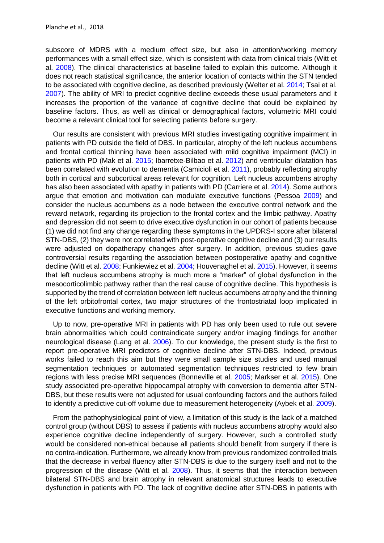subscore of MDRS with a medium effect size, but also in attention/working memory performances with a small effect size, which is consistent with data from clinical trials (Witt et al. 2008). The clinical characteristics at baseline failed to explain this outcome. Although it does not reach statistical significance, the anterior location of contacts within the STN tended to be associated with cognitive decline, as described previously (Welter et al. 2014; Tsai et al. 2007). The ability of MRI to predict cognitive decline exceeds these usual parameters and it increases the proportion of the variance of cognitive decline that could be explained by baseline factors. Thus, as well as clinical or demographical factors, volumetric MRI could become a relevant clinical tool for selecting patients before surgery.

Our results are consistent with previous MRI studies investigating cognitive impairment in patients with PD outside the field of DBS. In particular, atrophy of the left nucleus accumbens and frontal cortical thinning have been associated with mild cognitive impairment (MCI) in patients with PD (Mak et al. 2015; Ibarretxe-Bilbao et al. 2012) and ventricular dilatation has been correlated with evolution to dementia (Camicioli et al. 2011), probably reflecting atrophy both in cortical and subcortical areas relevant for cognition. Left nucleus accumbens atrophy has also been associated with apathy in patients with PD (Carriere et al. 2014). Some authors argue that emotion and motivation can modulate executive functions (Pessoa 2009) and consider the nucleus accumbens as a node between the executive control network and the reward network, regarding its projection to the frontal cortex and the limbic pathway. Apathy and depression did not seem to drive executive dysfunction in our cohort of patients because (1) we did not find any change regarding these symptoms in the UPDRS-I score after bilateral STN-DBS, (2) they were not correlated with post-operative cognitive decline and (3) our results were adjusted on dopatherapy changes after surgery. In addition, previous studies gave controversial results regarding the association between postoperative apathy and cognitive decline (Witt et al. 2008; Funkiewiez et al. 2004; Houvenaghel et al. 2015). However, it seems that left nucleus accumbens atrophy is much more a "marker" of global dysfunction in the mesocorticolimbic pathway rather than the real cause of cognitive decline. This hypothesis is supported by the trend of correlation between left nucleus accumbens atrophy and the thinning of the left orbitofrontal cortex, two major structures of the frontostriatal loop implicated in executive functions and working memory.

Up to now, pre-operative MRI in patients with PD has only been used to rule out severe brain abnormalities which could contraindicate surgery and/or imaging findings for another neurological disease (Lang et al. 2006). To our knowledge, the present study is the first to report pre-operative MRI predictors of cognitive decline after STN-DBS. Indeed, previous works failed to reach this aim but they were small sample size studies and used manual segmentation techniques or automated segmentation techniques restricted to few brain regions with less precise MRI sequences (Bonneville et al. 2005; Markser et al. 2015). One study associated pre-operative hippocampal atrophy with conversion to dementia after STN-DBS, but these results were not adjusted for usual confounding factors and the authors failed to identify a predictive cut-off volume due to measurement heterogeneity (Aybek et al. 2009).

From the pathophysiological point of view, a limitation of this study is the lack of a matched control group (without DBS) to assess if patients with nucleus accumbens atrophy would also experience cognitive decline independently of surgery. However, such a controlled study would be considered non-ethical because all patients should benefit from surgery if there is no contra-indication. Furthermore, we already know from previous randomized controlled trials that the decrease in verbal fluency after STN-DBS is due to the surgery itself and not to the progression of the disease (Witt et al. 2008). Thus, it seems that the interaction between bilateral STN-DBS and brain atrophy in relevant anatomical structures leads to executive dysfunction in patients with PD. The lack of cognitive decline after STN-DBS in patients with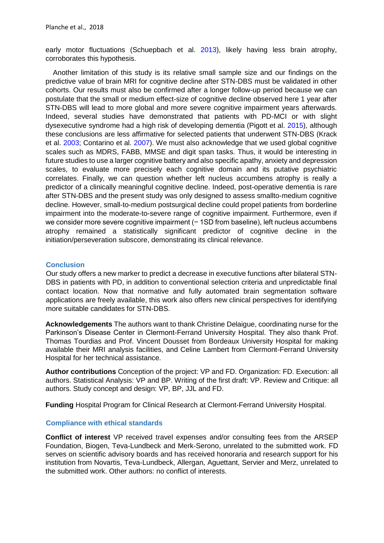early motor fluctuations (Schuepbach et al. 2013), likely having less brain atrophy, corroborates this hypothesis.

Another limitation of this study is its relative small sample size and our findings on the predictive value of brain MRI for cognitive decline after STN-DBS must be validated in other cohorts. Our results must also be confirmed after a longer follow-up period because we can postulate that the small or medium effect-size of cognitive decline observed here 1 year after STN-DBS will lead to more global and more severe cognitive impairment years afterwards. Indeed, several studies have demonstrated that patients with PD-MCI or with slight dysexecutive syndrome had a high risk of developing dementia (Pigott et al. 2015), although these conclusions are less affirmative for selected patients that underwent STN-DBS (Krack et al. 2003; Contarino et al. 2007). We must also acknowledge that we used global cognitive scales such as MDRS, FABB, MMSE and digit span tasks. Thus, it would be interesting in future studies to use a larger cognitive battery and also specific apathy, anxiety and depression scales, to evaluate more precisely each cognitive domain and its putative psychiatric correlates. Finally, we can question whether left nucleus accumbens atrophy is really a predictor of a clinically meaningful cognitive decline. Indeed, post-operative dementia is rare after STN-DBS and the present study was only designed to assess smallto-medium cognitive decline. However, small-to-medium postsurgical decline could propel patients from borderline impairment into the moderate-to-severe range of cognitive impairment. Furthermore, even if we consider more severe cognitive impairment (− 1SD from baseline), left nucleus accumbens atrophy remained a statistically significant predictor of cognitive decline in the initiation/perseveration subscore, demonstrating its clinical relevance.

#### **Conclusion**

Our study offers a new marker to predict a decrease in executive functions after bilateral STN-DBS in patients with PD, in addition to conventional selection criteria and unpredictable final contact location. Now that normative and fully automated brain segmentation software applications are freely available, this work also offers new clinical perspectives for identifying more suitable candidates for STN-DBS.

**Acknowledgements** The authors want to thank Christine Delaigue, coordinating nurse for the Parkinson's Disease Center in Clermont-Ferrand University Hospital. They also thank Prof. Thomas Tourdias and Prof. Vincent Dousset from Bordeaux University Hospital for making available their MRI analysis facilities, and Celine Lambert from Clermont-Ferrand University Hospital for her technical assistance.

**Author contributions** Conception of the project: VP and FD. Organization: FD. Execution: all authors. Statistical Analysis: VP and BP. Writing of the first draft: VP. Review and Critique: all authors. Study concept and design: VP, BP, JJL and FD.

**Funding** Hospital Program for Clinical Research at Clermont-Ferrand University Hospital.

### **Compliance with ethical standards**

**Conflict of interest** VP received travel expenses and/or consulting fees from the ARSEP Foundation, Biogen, Teva-Lundbeck and Merk-Serono, unrelated to the submitted work. FD serves on scientific advisory boards and has received honoraria and research support for his institution from Novartis, Teva-Lundbeck, Allergan, Aguettant, Servier and Merz, unrelated to the submitted work. Other authors: no conflict of interests.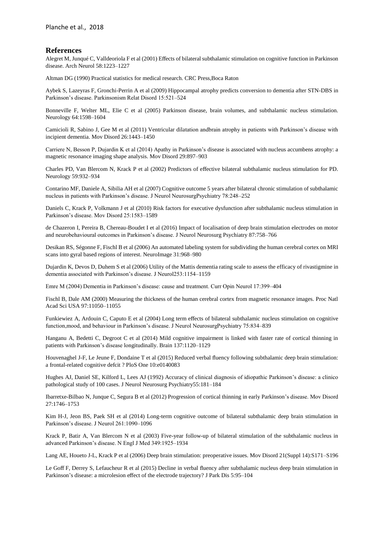#### **References**

Alegret M, Junqué C, Valldeoriola F et al (2001) Effects of bilateral subthalamic stimulation on cognitive function in Parkinson disease. Arch Neurol 58:1223–1227

Altman DG (1990) Practical statistics for medical research. CRC Press,Boca Raton

Aybek S, Lazeyras F, Gronchi-Perrin A et al (2009) Hippocampal atrophy predicts conversion to dementia after STN-DBS in Parkinson's disease. Parkinsonism Relat Disord 15:521–524

Bonneville F, Welter ML, Elie C et al (2005) Parkinson disease, brain volumes, and subthalamic nucleus stimulation. Neurology 64:1598–1604

Camicioli R, Sabino J, Gee M et al (2011) Ventricular dilatation andbrain atrophy in patients with Parkinson's disease with incipient dementia. Mov Disord 26:1443–1450

Carriere N, Besson P, Dujardin K et al (2014) Apathy in Parkinson's disease is associated with nucleus accumbens atrophy: a magnetic resonance imaging shape analysis. Mov Disord 29:897–903

Charles PD, Van Blercom N, Krack P et al (2002) Predictors of effective bilateral subthalamic nucleus stimulation for PD. Neurology 59:932–934

Contarino MF, Daniele A, Sibilia AH et al (2007) Cognitive outcome 5 years after bilateral chronic stimulation of subthalamic nucleus in patients with Parkinson's disease. J Neurol NeurosurgPsychiatry 78:248–252

Daniels C, Krack P, Volkmann J et al (2010) Risk factors for executive dysfunction after subthalamic nucleus stimulation in Parkinson's disease. Mov Disord 25:1583–1589

de Chazeron I, Pereira B, Chereau-Boudet I et al (2016) Impact of localisation of deep brain stimulation electrodes on motor and neurobehavioural outcomes in Parkinson's disease. J Neurol Neurosurg Psychiatry 87:758–766

Desikan RS, Ségonne F, Fischl B et al (2006) An automated labeling system for subdividing the human cerebral cortex on MRI scans into gyral based regions of interest. NeuroImage 31:968–980

Dujardin K, Devos D, Duhem S et al (2006) Utility of the Mattis dementia rating scale to assess the efficacy of rivastigmine in dementia associated with Parkinson's disease. J Neurol253:1154–1159

Emre M (2004) Dementia in Parkinson's disease: cause and treatment. Curr Opin Neurol 17:399–404

Fischl B, Dale AM (2000) Measuring the thickness of the human cerebral cortex from magnetic resonance images. Proc Natl Acad Sci USA 97:11050–11055

Funkiewiez A, Ardouin C, Caputo E et al (2004) Long term effects of bilateral subthalamic nucleus stimulation on cognitive function,mood, and behaviour in Parkinson's disease. J Neurol NeurosurgPsychiatry 75:834–839

Hanganu A, Bedetti C, Degroot C et al (2014) Mild cognitive impairment is linked with faster rate of cortical thinning in patients with Parkinson's disease longitudinally. Brain 137:1120–1129

Houvenaghel J-F, Le Jeune F, Dondaine T et al (2015) Reduced verbal fluency following subthalamic deep brain stimulation: a frontal-related cognitive defcit ? PloS One 10:e0140083

Hughes AJ, Daniel SE, Kilford L, Lees AJ (1992) Accuracy of clinical diagnosis of idiopathic Parkinson's disease: a clinico pathological study of 100 cases. J Neurol Neurosurg Psychiatry55:181–184

Ibarretxe-Bilbao N, Junque C, Segura B et al (2012) Progression of cortical thinning in early Parkinson's disease. Mov Disord 27:1746–1753

Kim H-J, Jeon BS, Paek SH et al (2014) Long-term cognitive outcome of bilateral subthalamic deep brain stimulation in Parkinson's disease. J Neurol 261:1090–1096

Krack P, Batir A, Van Blercom N et al (2003) Five-year follow-up of bilateral stimulation of the subthalamic nucleus in advanced Parkinson's disease. N Engl J Med 349:1925–1934

Lang AE, Houeto J-L, Krack P et al (2006) Deep brain stimulation: preoperative issues. Mov Disord 21(Suppl 14):S171–S196

Le Goff F, Derrey S, Lefaucheur R et al (2015) Decline in verbal fluency after subthalamic nucleus deep brain stimulation in Parkinson's disease: a microlesion effect of the electrode trajectory? J Park Dis 5:95–104